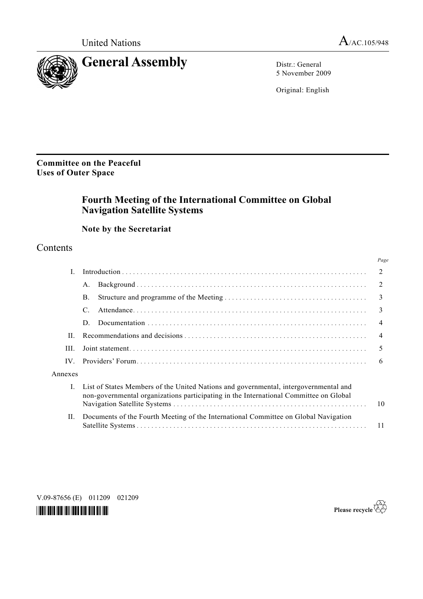

5 November 2009

Original: English

**Committee on the Peaceful Uses of Outer Space** 

# **Fourth Meeting of the International Committee on Global Navigation Satellite Systems**

# **Note by the Secretariat**

# **Contents**

|         |                                                                                                                                                                               | Page           |
|---------|-------------------------------------------------------------------------------------------------------------------------------------------------------------------------------|----------------|
|         |                                                                                                                                                                               | $\mathfrak{D}$ |
|         | $A_{\cdot}$                                                                                                                                                                   | 2              |
|         | $\mathbf{B}$ .                                                                                                                                                                | 3              |
|         | $\mathcal{C}$                                                                                                                                                                 | 3              |
|         | D                                                                                                                                                                             | $\overline{4}$ |
| $\Pi$   | 4                                                                                                                                                                             |                |
| HL.     | 5                                                                                                                                                                             |                |
| IV      |                                                                                                                                                                               |                |
| Annexes |                                                                                                                                                                               |                |
|         | List of States Members of the United Nations and governmental, intergovernmental and<br>non-governmental organizations participating in the International Committee on Global | 10             |
| Н.      | Documents of the Fourth Meeting of the International Committee on Global Navigation                                                                                           | 11             |

*\*0987656\** 

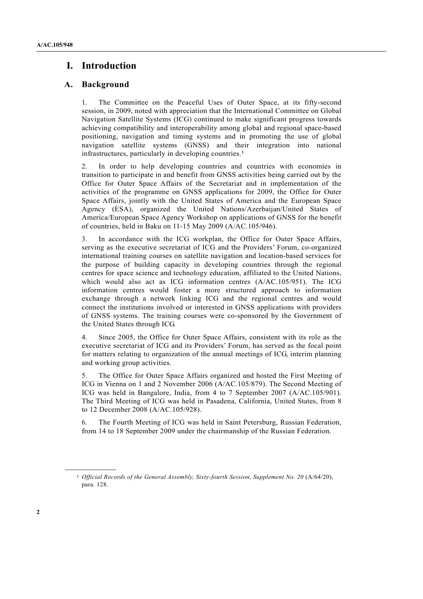# **I. Introduction**

## **A. Background**

1. The Committee on the Peaceful Uses of Outer Space, at its fifty-second session, in 2009, noted with appreciation that the International Committee on Global Navigation Satellite Systems (ICG) continued to make significant progress towards achieving compatibility and interoperability among global and regional space-based positioning, navigation and timing systems and in promoting the use of global navigation satellite systems (GNSS) and their integration into national infrastructures, particularly in developing countries.1

2. In order to help developing countries and countries with economies in transition to participate in and benefit from GNSS activities being carried out by the Office for Outer Space Affairs of the Secretariat and in implementation of the activities of the programme on GNSS applications for 2009, the Office for Outer Space Affairs, jointly with the United States of America and the European Space Agency (ESA), organized the United Nations/Azerbaijan/United States of America/European Space Agency Workshop on applications of GNSS for the benefit of countries, held in Baku on 11-15 May 2009 (A/AC.105/946).

3. In accordance with the ICG workplan, the Office for Outer Space Affairs, serving as the executive secretariat of ICG and the Providers' Forum, co-organized international training courses on satellite navigation and location-based services for the purpose of building capacity in developing countries through the regional centres for space science and technology education, affiliated to the United Nations, which would also act as ICG information centres (A/AC.105/951). The ICG information centres would foster a more structured approach to information exchange through a network linking ICG and the regional centres and would connect the institutions involved or interested in GNSS applications with providers of GNSS systems. The training courses were co-sponsored by the Government of the United States through ICG.

4. Since 2005, the Office for Outer Space Affairs, consistent with its role as the executive secretariat of ICG and its Providers' Forum, has served as the focal point for matters relating to organization of the annual meetings of ICG, interim planning and working group activities.

5. The Office for Outer Space Affairs organized and hosted the First Meeting of ICG in Vienna on 1 and 2 November 2006 (A/AC.105/879). The Second Meeting of ICG was held in Bangalore, India, from 4 to 7 September 2007 (A/AC.105/901). The Third Meeting of ICG was held in Pasadena, California, United States, from 8 to 12 December 2008 (A/AC.105/928).

6. The Fourth Meeting of ICG was held in Saint Petersburg, Russian Federation, from 14 to 18 September 2009 under the chairmanship of the Russian Federation.

**\_\_\_\_\_\_\_\_\_\_\_\_\_\_\_\_\_\_** 

<sup>1</sup> *Official Records of the General Assembly, Sixty-fourth Session*, *Supplement No. 20* (A/64/20), para. 128.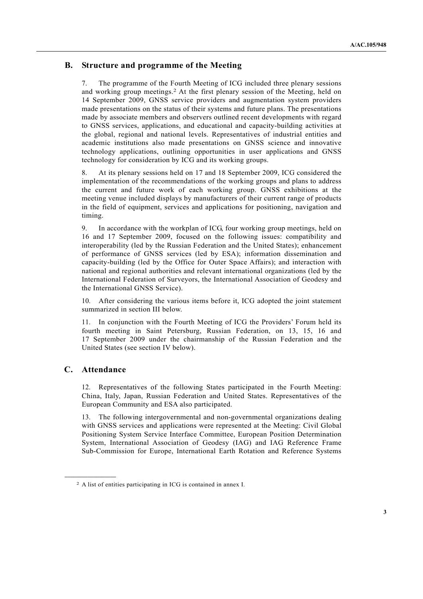# **B. Structure and programme of the Meeting**

7. The programme of the Fourth Meeting of ICG included three plenary sessions and working group meetings.2 At the first plenary session of the Meeting, held on 14 September 2009, GNSS service providers and augmentation system providers made presentations on the status of their systems and future plans. The presentations made by associate members and observers outlined recent developments with regard to GNSS services, applications, and educational and capacity-building activities at the global, regional and national levels. Representatives of industrial entities and academic institutions also made presentations on GNSS science and innovative technology applications, outlining opportunities in user applications and GNSS technology for consideration by ICG and its working groups.

8. At its plenary sessions held on 17 and 18 September 2009, ICG considered the implementation of the recommendations of the working groups and plans to address the current and future work of each working group. GNSS exhibitions at the meeting venue included displays by manufacturers of their current range of products in the field of equipment, services and applications for positioning, navigation and timing.

9. In accordance with the workplan of ICG, four working group meetings, held on 16 and 17 September 2009, focused on the following issues: compatibility and interoperability (led by the Russian Federation and the United States); enhancement of performance of GNSS services (led by ESA); information dissemination and capacity-building (led by the Office for Outer Space Affairs); and interaction with national and regional authorities and relevant international organizations (led by the International Federation of Surveyors, the International Association of Geodesy and the International GNSS Service).

10. After considering the various items before it, ICG adopted the joint statement summarized in section III below.

11. In conjunction with the Fourth Meeting of ICG the Providers' Forum held its fourth meeting in Saint Petersburg, Russian Federation, on 13, 15, 16 and 17 September 2009 under the chairmanship of the Russian Federation and the United States (see section IV below).

# **C. Attendance**

**\_\_\_\_\_\_\_\_\_\_\_\_\_\_\_\_\_\_** 

12. Representatives of the following States participated in the Fourth Meeting: China, Italy, Japan, Russian Federation and United States. Representatives of the European Community and ESA also participated.

13. The following intergovernmental and non-governmental organizations dealing with GNSS services and applications were represented at the Meeting: Civil Global Positioning System Service Interface Committee, European Position Determination System, International Association of Geodesy (IAG) and IAG Reference Frame Sub-Commission for Europe, International Earth Rotation and Reference Systems

<sup>2</sup> A list of entities participating in ICG is contained in annex I.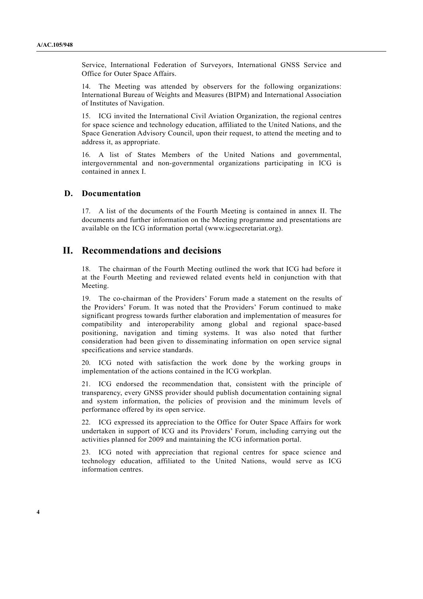Service, International Federation of Surveyors, International GNSS Service and Office for Outer Space Affairs.

14. The Meeting was attended by observers for the following organizations: International Bureau of Weights and Measures (BIPM) and International Association of Institutes of Navigation.

15. ICG invited the International Civil Aviation Organization, the regional centres for space science and technology education, affiliated to the United Nations, and the Space Generation Advisory Council, upon their request, to attend the meeting and to address it, as appropriate.

16. A list of States Members of the United Nations and governmental, intergovernmental and non-governmental organizations participating in ICG is contained in annex I.

## **D. Documentation**

17. A list of the documents of the Fourth Meeting is contained in annex II. The documents and further information on the Meeting programme and presentations are available on the ICG information portal (www.icgsecretariat.org).

# **II. Recommendations and decisions**

18. The chairman of the Fourth Meeting outlined the work that ICG had before it at the Fourth Meeting and reviewed related events held in conjunction with that Meeting.

19. The co-chairman of the Providers' Forum made a statement on the results of the Providers' Forum. It was noted that the Providers' Forum continued to make significant progress towards further elaboration and implementation of measures for compatibility and interoperability among global and regional space-based positioning, navigation and timing systems. It was also noted that further consideration had been given to disseminating information on open service signal specifications and service standards.

20. ICG noted with satisfaction the work done by the working groups in implementation of the actions contained in the ICG workplan.

21. ICG endorsed the recommendation that, consistent with the principle of transparency, every GNSS provider should publish documentation containing signal and system information, the policies of provision and the minimum levels of performance offered by its open service.

22. ICG expressed its appreciation to the Office for Outer Space Affairs for work undertaken in support of ICG and its Providers' Forum, including carrying out the activities planned for 2009 and maintaining the ICG information portal.

23. ICG noted with appreciation that regional centres for space science and technology education, affiliated to the United Nations, would serve as ICG information centres.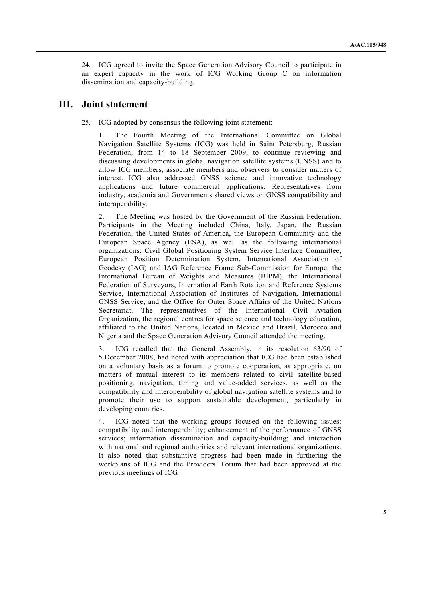24. ICG agreed to invite the Space Generation Advisory Council to participate in an expert capacity in the work of ICG Working Group C on information dissemination and capacity-building.

# **III. Joint statement**

25. ICG adopted by consensus the following joint statement:

 1. The Fourth Meeting of the International Committee on Global Navigation Satellite Systems (ICG) was held in Saint Petersburg, Russian Federation, from 14 to 18 September 2009, to continue reviewing and discussing developments in global navigation satellite systems (GNSS) and to allow ICG members, associate members and observers to consider matters of interest. ICG also addressed GNSS science and innovative technology applications and future commercial applications. Representatives from industry, academia and Governments shared views on GNSS compatibility and interoperability.

 2. The Meeting was hosted by the Government of the Russian Federation. Participants in the Meeting included China, Italy, Japan, the Russian Federation, the United States of America, the European Community and the European Space Agency (ESA), as well as the following international organizations: Civil Global Positioning System Service Interface Committee, European Position Determination System, International Association of Geodesy (IAG) and IAG Reference Frame Sub-Commission for Europe, the International Bureau of Weights and Measures (BIPM), the International Federation of Surveyors, International Earth Rotation and Reference Systems Service, International Association of Institutes of Navigation, International GNSS Service, and the Office for Outer Space Affairs of the United Nations Secretariat. The representatives of the International Civil Aviation Organization, the regional centres for space science and technology education, affiliated to the United Nations, located in Mexico and Brazil, Morocco and Nigeria and the Space Generation Advisory Council attended the meeting.

 3. ICG recalled that the General Assembly, in its resolution 63/90 of 5 December 2008, had noted with appreciation that ICG had been established on a voluntary basis as a forum to promote cooperation, as appropriate, on matters of mutual interest to its members related to civil satellite-based positioning, navigation, timing and value-added services, as well as the compatibility and interoperability of global navigation satellite systems and to promote their use to support sustainable development, particularly in developing countries.

 4. ICG noted that the working groups focused on the following issues: compatibility and interoperability; enhancement of the performance of GNSS services; information dissemination and capacity-building; and interaction with national and regional authorities and relevant international organizations. It also noted that substantive progress had been made in furthering the workplans of ICG and the Providers' Forum that had been approved at the previous meetings of ICG.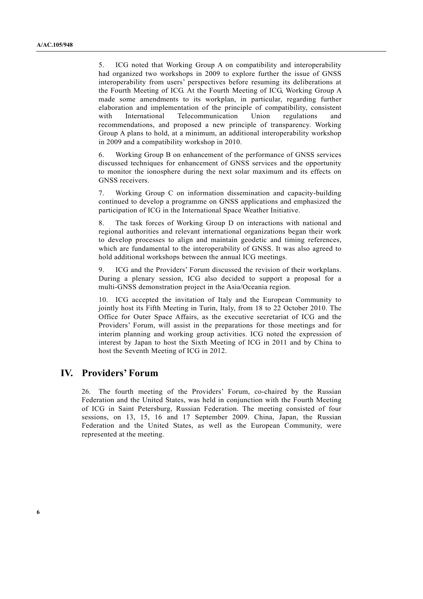5. ICG noted that Working Group A on compatibility and interoperability had organized two workshops in 2009 to explore further the issue of GNSS interoperability from users' perspectives before resuming its deliberations at the Fourth Meeting of ICG. At the Fourth Meeting of ICG, Working Group A made some amendments to its workplan, in particular, regarding further elaboration and implementation of the principle of compatibility, consistent with International Telecommunication Union regulations and recommendations, and proposed a new principle of transparency. Working Group A plans to hold, at a minimum, an additional interoperability workshop in 2009 and a compatibility workshop in 2010.

 6. Working Group B on enhancement of the performance of GNSS services discussed techniques for enhancement of GNSS services and the opportunity to monitor the ionosphere during the next solar maximum and its effects on GNSS receivers.

 7. Working Group C on information dissemination and capacity-building continued to develop a programme on GNSS applications and emphasized the participation of ICG in the International Space Weather Initiative.

 8. The task forces of Working Group D on interactions with national and regional authorities and relevant international organizations began their work to develop processes to align and maintain geodetic and timing references, which are fundamental to the interoperability of GNSS. It was also agreed to hold additional workshops between the annual ICG meetings.

ICG and the Providers' Forum discussed the revision of their workplans. During a plenary session, ICG also decided to support a proposal for a multi-GNSS demonstration project in the Asia/Oceania region.

 10. ICG accepted the invitation of Italy and the European Community to jointly host its Fifth Meeting in Turin, Italy, from 18 to 22 October 2010. The Office for Outer Space Affairs, as the executive secretariat of ICG and the Providers' Forum, will assist in the preparations for those meetings and for interim planning and working group activities. ICG noted the expression of interest by Japan to host the Sixth Meeting of ICG in 2011 and by China to host the Seventh Meeting of ICG in 2012.

# **IV. Providers' Forum**

26. The fourth meeting of the Providers' Forum, co-chaired by the Russian Federation and the United States, was held in conjunction with the Fourth Meeting of ICG in Saint Petersburg, Russian Federation. The meeting consisted of four sessions, on 13, 15, 16 and 17 September 2009. China, Japan, the Russian Federation and the United States, as well as the European Community, were represented at the meeting.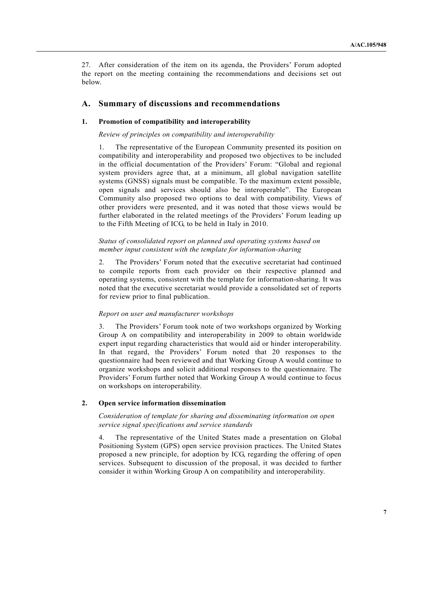27. After consideration of the item on its agenda, the Providers' Forum adopted the report on the meeting containing the recommendations and decisions set out below.

## **A. Summary of discussions and recommendations**

## **1. Promotion of compatibility and interoperability**

### *Review of principles on compatibility and interoperability*

1. The representative of the European Community presented its position on compatibility and interoperability and proposed two objectives to be included in the official documentation of the Providers' Forum: "Global and regional system providers agree that, at a minimum, all global navigation satellite systems (GNSS) signals must be compatible. To the maximum extent possible, open signals and services should also be interoperable". The European Community also proposed two options to deal with compatibility. Views of other providers were presented, and it was noted that those views would be further elaborated in the related meetings of the Providers' Forum leading up to the Fifth Meeting of ICG, to be held in Italy in 2010.

## *Status of consolidated report on planned and operating systems based on member input consistent with the template for information-sharing*

2. The Providers' Forum noted that the executive secretariat had continued to compile reports from each provider on their respective planned and operating systems, consistent with the template for information-sharing. It was noted that the executive secretariat would provide a consolidated set of reports for review prior to final publication.

#### *Report on user and manufacturer workshops*

3. The Providers' Forum took note of two workshops organized by Working Group A on compatibility and interoperability in 2009 to obtain worldwide expert input regarding characteristics that would aid or hinder interoperability. In that regard, the Providers' Forum noted that 20 responses to the questionnaire had been reviewed and that Working Group A would continue to organize workshops and solicit additional responses to the questionnaire. The Providers' Forum further noted that Working Group A would continue to focus on workshops on interoperability.

### **2. Open service information dissemination**

## *Consideration of template for sharing and disseminating information on open service signal specifications and service standards*

4. The representative of the United States made a presentation on Global Positioning System (GPS) open service provision practices. The United States proposed a new principle, for adoption by ICG, regarding the offering of open services. Subsequent to discussion of the proposal, it was decided to further consider it within Working Group A on compatibility and interoperability.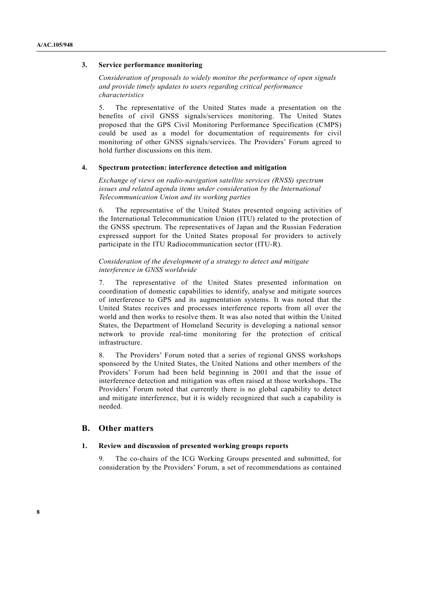### **3. Service performance monitoring**

 *Consideration of proposals to widely monitor the performance of open signals and provide timely updates to users regarding critical performance characteristics* 

5. The representative of the United States made a presentation on the benefits of civil GNSS signals/services monitoring. The United States proposed that the GPS Civil Monitoring Performance Specification (CMPS) could be used as a model for documentation of requirements for civil monitoring of other GNSS signals/services. The Providers' Forum agreed to hold further discussions on this item.

### **4. Spectrum protection: interference detection and mitigation**

 *Exchange of views on radio-navigation satellite services (RNSS) spectrum issues and related agenda items under consideration by the International Telecommunication Union and its working parties* 

6. The representative of the United States presented ongoing activities of the International Telecommunication Union (ITU) related to the protection of the GNSS spectrum. The representatives of Japan and the Russian Federation expressed support for the United States proposal for providers to actively participate in the ITU Radiocommunication sector (ITU-R).

## *Consideration of the development of a strategy to detect and mitigate interference in GNSS worldwide*

7. The representative of the United States presented information on coordination of domestic capabilities to identify, analyse and mitigate sources of interference to GPS and its augmentation systems. It was noted that the United States receives and processes interference reports from all over the world and then works to resolve them. It was also noted that within the United States, the Department of Homeland Security is developing a national sensor network to provide real-time monitoring for the protection of critical infrastructure.

The Providers' Forum noted that a series of regional GNSS workshops sponsored by the United States, the United Nations and other members of the Providers' Forum had been held beginning in 2001 and that the issue of interference detection and mitigation was often raised at those workshops. The Providers' Forum noted that currently there is no global capability to detect and mitigate interference, but it is widely recognized that such a capability is needed.

# **B. Other matters**

#### **1. Review and discussion of presented working groups reports**

The co-chairs of the ICG Working Groups presented and submitted, for consideration by the Providers' Forum, a set of recommendations as contained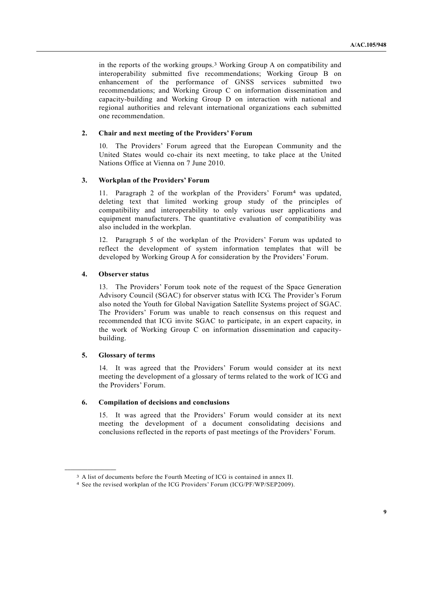in the reports of the working groups.3 Working Group A on compatibility and interoperability submitted five recommendations; Working Group B on enhancement of the performance of GNSS services submitted two recommendations; and Working Group C on information dissemination and capacity-building and Working Group D on interaction with national and regional authorities and relevant international organizations each submitted one recommendation.

### **2. Chair and next meeting of the Providers' Forum**

10. The Providers' Forum agreed that the European Community and the United States would co-chair its next meeting, to take place at the United Nations Office at Vienna on 7 June 2010.

### **3. Workplan of the Providers' Forum**

11. Paragraph 2 of the workplan of the Providers' Forum4 was updated, deleting text that limited working group study of the principles of compatibility and interoperability to only various user applications and equipment manufacturers. The quantitative evaluation of compatibility was also included in the workplan.

12. Paragraph 5 of the workplan of the Providers' Forum was updated to reflect the development of system information templates that will be developed by Working Group A for consideration by the Providers' Forum.

### **4. Observer status**

13. The Providers' Forum took note of the request of the Space Generation Advisory Council (SGAC) for observer status with ICG. The Provider's Forum also noted the Youth for Global Navigation Satellite Systems project of SGAC. The Providers' Forum was unable to reach consensus on this request and recommended that ICG invite SGAC to participate, in an expert capacity, in the work of Working Group C on information dissemination and capacitybuilding.

### **5. Glossary of terms**

**\_\_\_\_\_\_\_\_\_\_\_\_\_\_\_\_\_\_** 

14. It was agreed that the Providers' Forum would consider at its next meeting the development of a glossary of terms related to the work of ICG and the Providers' Forum.

## **6. Compilation of decisions and conclusions**

15. It was agreed that the Providers' Forum would consider at its next meeting the development of a document consolidating decisions and conclusions reflected in the reports of past meetings of the Providers' Forum.

<sup>3</sup> A list of documents before the Fourth Meeting of ICG is contained in annex II. 4 See the revised workplan of the ICG Providers' Forum (ICG/PF/WP/SEP2009).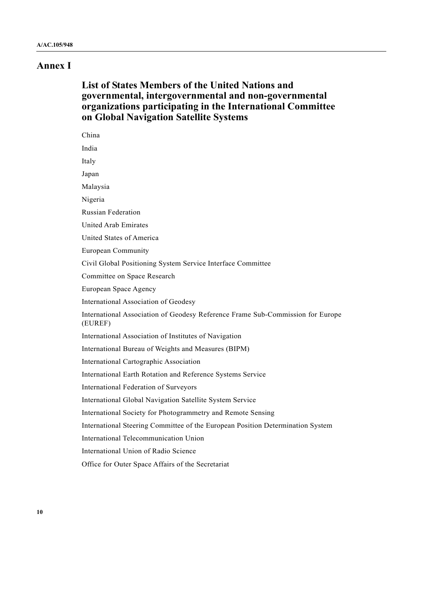# **Annex I**

# **List of States Members of the United Nations and governmental, intergovernmental and non-governmental organizations participating in the International Committee on Global Navigation Satellite Systems**

| China                                                                                     |  |  |
|-------------------------------------------------------------------------------------------|--|--|
| India                                                                                     |  |  |
| Italy                                                                                     |  |  |
| Japan                                                                                     |  |  |
| Malaysia                                                                                  |  |  |
| Nigeria                                                                                   |  |  |
| <b>Russian Federation</b>                                                                 |  |  |
| United Arab Emirates                                                                      |  |  |
| United States of America                                                                  |  |  |
| <b>European Community</b>                                                                 |  |  |
| Civil Global Positioning System Service Interface Committee                               |  |  |
| Committee on Space Research                                                               |  |  |
| European Space Agency                                                                     |  |  |
| International Association of Geodesy                                                      |  |  |
| International Association of Geodesy Reference Frame Sub-Commission for Europe<br>(EUREF) |  |  |
| International Association of Institutes of Navigation                                     |  |  |
| International Bureau of Weights and Measures (BIPM)                                       |  |  |
| International Cartographic Association                                                    |  |  |
| International Earth Rotation and Reference Systems Service                                |  |  |
| International Federation of Surveyors                                                     |  |  |
| International Global Navigation Satellite System Service                                  |  |  |
| International Society for Photogrammetry and Remote Sensing                               |  |  |
| International Steering Committee of the European Position Determination System            |  |  |
| International Telecommunication Union                                                     |  |  |
| International Union of Radio Science                                                      |  |  |
| Office for Outer Space Affairs of the Secretariat                                         |  |  |